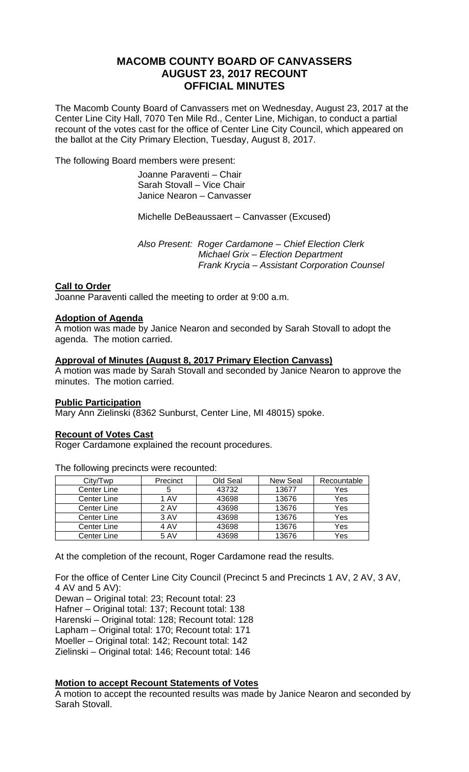# **MACOMB COUNTY BOARD OF CANVASSERS AUGUST 23, 2017 RECOUNT OFFICIAL MINUTES**

The Macomb County Board of Canvassers met on Wednesday, August 23, 2017 at the Center Line City Hall, 7070 Ten Mile Rd., Center Line, Michigan, to conduct a partial recount of the votes cast for the office of Center Line City Council, which appeared on the ballot at the City Primary Election, Tuesday, August 8, 2017.

The following Board members were present:

 Joanne Paraventi – Chair Sarah Stovall – Vice Chair Janice Nearon – Canvasser

Michelle DeBeaussaert – Canvasser (Excused)

 *Also Present: Roger Cardamone – Chief Election Clerk Michael Grix – Election Department Frank Krycia – Assistant Corporation Counsel* 

### **Call to Order**

Joanne Paraventi called the meeting to order at 9:00 a.m.

#### **Adoption of Agenda**

A motion was made by Janice Nearon and seconded by Sarah Stovall to adopt the agenda. The motion carried.

### **Approval of Minutes (August 8, 2017 Primary Election Canvass)**

A motion was made by Sarah Stovall and seconded by Janice Nearon to approve the minutes. The motion carried.

#### **Public Participation**

Mary Ann Zielinski (8362 Sunburst, Center Line, MI 48015) spoke.

#### **Recount of Votes Cast**

Roger Cardamone explained the recount procedures.

City/Twp Precinct Old Seal New Seal Recountable<br>
Senter Line 5 43732 13677 Yes Center Line 1 5 43732 13677 Yes Center Line 1 AV 43698 13676 Yes<br>
Center Line 2 AV 43698 13676 Yes Center Line | 2 AV | 43698 | 13676 Center Line 3 AV | 43698 | 13676 | Yes Center Line | 4 AV | 43698 | 13676 | Yes Center Line | 5 AV | 43698 | 13676 | Yes

The following precincts were recounted:

At the completion of the recount, Roger Cardamone read the results.

For the office of Center Line City Council (Precinct 5 and Precincts 1 AV, 2 AV, 3 AV, 4 AV and 5 AV):

Dewan – Original total: 23; Recount total: 23 Hafner – Original total: 137; Recount total: 138 Harenski – Original total: 128; Recount total: 128 Lapham – Original total: 170; Recount total: 171

Moeller – Original total: 142; Recount total: 142

Zielinski – Original total: 146; Recount total: 146

## **Motion to accept Recount Statements of Votes**

A motion to accept the recounted results was made by Janice Nearon and seconded by Sarah Stovall.